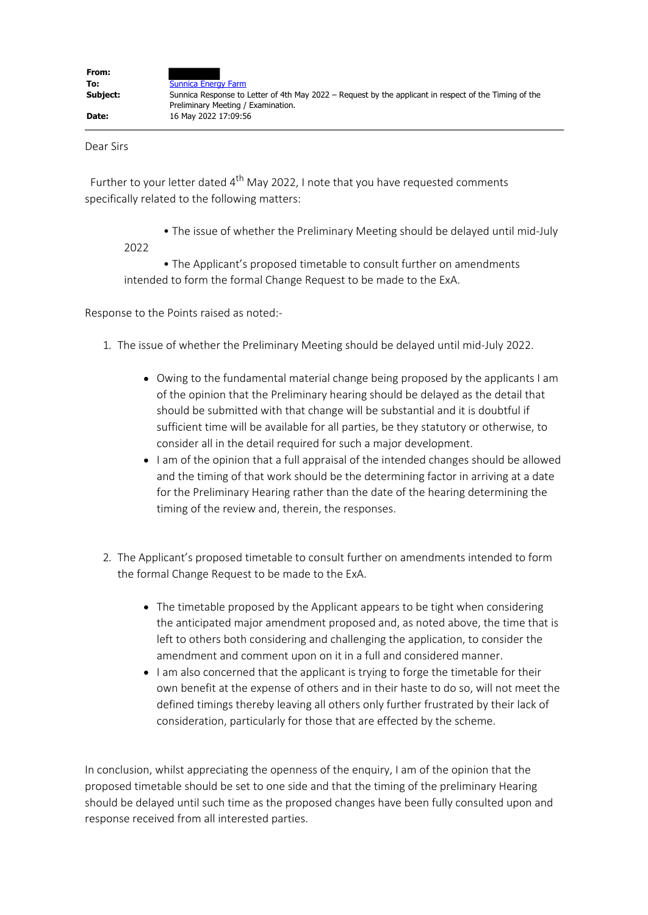Dear Sirs

Further to your letter dated  $4<sup>th</sup>$  May 2022, I note that you have requested comments specifically related to the following matters:

• The issue of whether the Preliminary Meeting should be delayed until mid-July

2022

• The Applicant's proposed timetable to consult further on amendments intended to form the formal Change Request to be made to the ExA.

Response to the Points raised as noted:-

- 1. The issue of whether the Preliminary Meeting should be delayed until mid-July 2022.
	- Owing to the fundamental material change being proposed by the applicants I am of the opinion that the Preliminary hearing should be delayed as the detail that should be submitted with that change will be substantial and it is doubtful if sufficient time will be available for all parties, be they statutory or otherwise, to consider all in the detail required for such a major development.
	- I am of the opinion that a full appraisal of the intended changes should be allowed and the timing of that work should be the determining factor in arriving at a date for the Preliminary Hearing rather than the date of the hearing determining the timing of the review and, therein, the responses.
- 2. The Applicant's proposed timetable to consult further on amendments intended to form the formal Change Request to be made to the ExA.
	- The timetable proposed by the Applicant appears to be tight when considering the anticipated major amendment proposed and, as noted above, the time that is left to others both considering and challenging the application, to consider the amendment and comment upon on it in a full and considered manner.
	- I am also concerned that the applicant is trying to forge the timetable for their own benefit at the expense of others and in their haste to do so, will not meet the defined timings thereby leaving all others only further frustrated by their lack of consideration, particularly for those that are effected by the scheme.

In conclusion, whilst appreciating the openness of the enquiry, I am of the opinion that the proposed timetable should be set to one side and that the timing of the preliminary Hearing should be delayed until such time as the proposed changes have been fully consulted upon and response received from all interested parties.